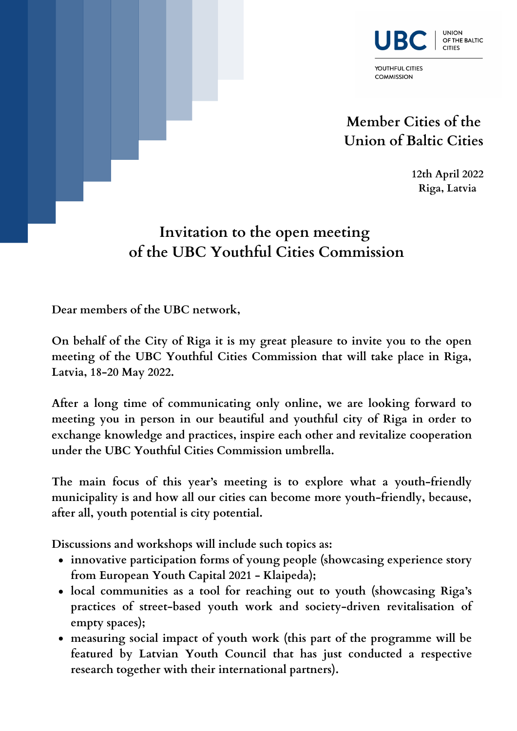



**Member Cities of the Union of Baltic Cities**

**COMMISSION** 

**12th April 2022 Riga, Latvia**

## **Invitation to the open meeting of the UBC Youthful Cities Commission**

**Dear members of the UBC network,**

**On behalf of the City of Riga it is my great pleasure to invite you to the open meeting of the UBC Youthful Cities Commission that will take place in Riga, Latvia, 18-20 May 2022.**

**After a long time of communicating only online, we are looking forward to meeting you in person in our beautiful and youthful city of Riga in order to exchange knowledge and practices, inspire each other and revitalize cooperation under the UBC Youthful Cities Commission umbrella.**

**The main focus of this year's meeting is to explore what a youth-friendly municipality is and how all our cities can become more youth-friendly, because, after all, youth potential is city potential.**

**Discussions and workshops will include such topics as:**

- **innovative participation forms of young people (showcasing experience story from European Youth Capital 2021 - Klaipeda);**
- **local communities as a tool for reaching out to youth (showcasing Riga's practices of street-based youth work and society-driven revitalisation of empty spaces);**
- **measuring social impact of youth work (this part of the programme will be featured by Latvian Youth Council that has just conducted a respective research together with their international partners).**